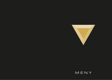

# MENY